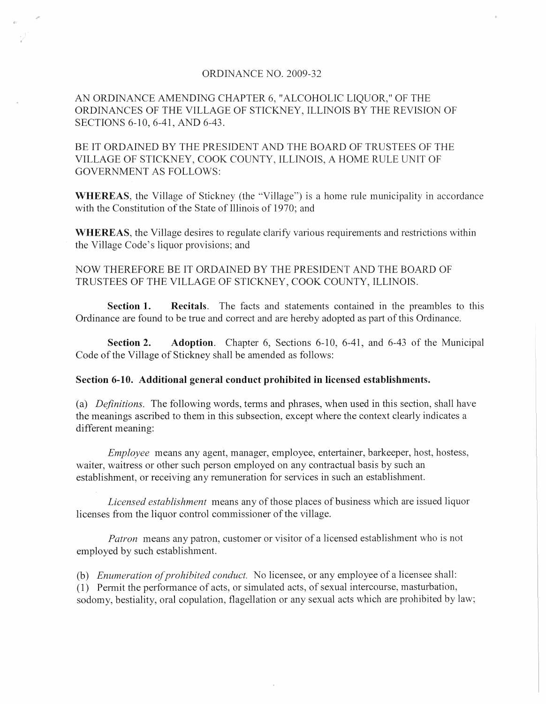## ORDINANCE NO. 2009-32

AN ORDINANCE AMENDING CHAPTER 6, "ALCOHOLIC LIQUOR," OF THE ORDINANCES OF THE VILLAGE OF STICKNEY, ILLINOIS BY THE REVISION OF SECTIONS 6-10,6-41, AND 6-43.

BE IT ORDAINED BY THE PRESIDENT AND THE BOARD OF TRUSTEES OF THE VILLAGE OF STICKNEY, COOK COUNTY, ILLINOIS, A HOME RULE UNIT OF GOVERNMENT AS FOLLOWS:

**WHEREAS,** the Village of Stickney (the "Village") is a home rule municipality in accordance with the Constitution of the State of Illinois of 1970; and

**WHEREAS,** the Village desires to regulate clarify various requirements and restrictions within the Village Code's liquor provisions; and

NOW THEREFORE BE IT ORDAINED BY THE PRESIDENT AND THE BOARD OF TRUSTEES OF THE VILLAGE OF STICKNEY, COOK COUNTY, ILLINOIS.

**Section 1. Recitals.** The facts and statements contained in the preambles to this Ordinance are found to be true and correct and are hereby adopted as part of this Ordinance.

**Section 2.** Adoption. Chapter 6, Sections 6-10, 6-41, and 6-43 of the Municipal Code of the Village of Stickney shall be amended as follows:

## **Section 6-10. Additional general conduct prohibited in licensed establishments.**

(a) *Definitions.* The following words, terms and phrases, when used in this section, shall have the meanings ascribed to them in this subsection, except where the context clearly indicates a different meaning:

*Employee* means any agent, manager, employee, entertainer, barkeeper, host, hostess, waiter, waitress or other such person employed on any contractual basis by such an establishment, or receiving any remuneration for services in such an establishment.

*Licensed establishment* means any of those places of business which are issued liquor licenses from the liquor control commissioner of the village.

*Patron* means any patron, customer or visitor of a licensed establishment who is not employed by such establishment.

(b) *Enumeration of prohibited conduct.* No licensee, or any employee of a licensee shall: (1) Permit the performance of acts, or simulated acts, of sexual intercourse, masturbation,

sodomy, bestiality, oral copulation, flagellation or any sexual acts which are prohibited by law;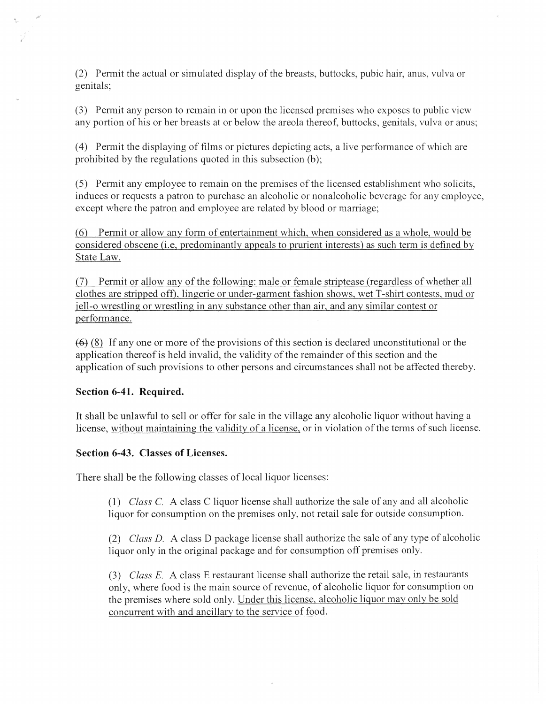(2) Permit the actual or simulated display of the breasts, buttocks, pubic hair, anus, vulva or genitals;

(3) Permit any person to remain in or upon the licensed premises who exposes to public view any portion of his or her breasts at or below the areola thereof, buttocks, genitals, vulva or anus;

(4) Permit the displaying of films or pictures depicting acts, a live performance of which are prohibited by the regulations quoted in this subsection (b);

(5) Pennit any employee to remain on the premises ofthe licensed establishment who solicits, induces or requests a patron to purchase an alcoholic or nonalcoholic beverage for any employee, except where the patron and employee are related by blood or marriage;

(6) Permit or allow any fonn of entertainment which, when considered as a whole, would be considered obscene (i.e. predominantly appeals to prurient interests) as such term is defined by State Law.

(7) Permit or allow any of the following: male or female striptease (regardless of whether all clothes are stripped off), lingerie or under-garment fashion shows, wet T-shirt contests, mud or jell-o wrestling or wrestling in any substance other than air, and any similar contest or performance.

 $(6)$  (8) If any one or more of the provisions of this section is declared unconstitutional or the application thereof is held invalid, the validity of the remainder of this section and the application of such provisions to other persons and circumstances shall not be affected thereby.

## Section 6-41. Required.

It shall be unlawful to sell or offer for sale in the village any alcoholic liquor without having a license, without maintaining the validity of a license, or in violation of the tenns of such license.

## Section 6-43. Classes of Licenses.

There shall be the following classes of local liquor licenses:

(1) *Class* C. A class C liquor license shall authorize the sale of any and all alcoholic liquor for consumption on the premises only, not retail sale for outside consumption.

*(2) Class D.* A class D package license shall authorize the sale of any type of alcoholic liquor only in the original package and for consumption off premises only.

(3) *Class* E. A class E restaurant license shall authorize the retail sale, in restaurants only, where food is the main source of revenue, of alcoholic liquor for consumption on the premises where sold only. Under this license, alcoholic liquor may only be sold concurrent with and ancillary to the service of food.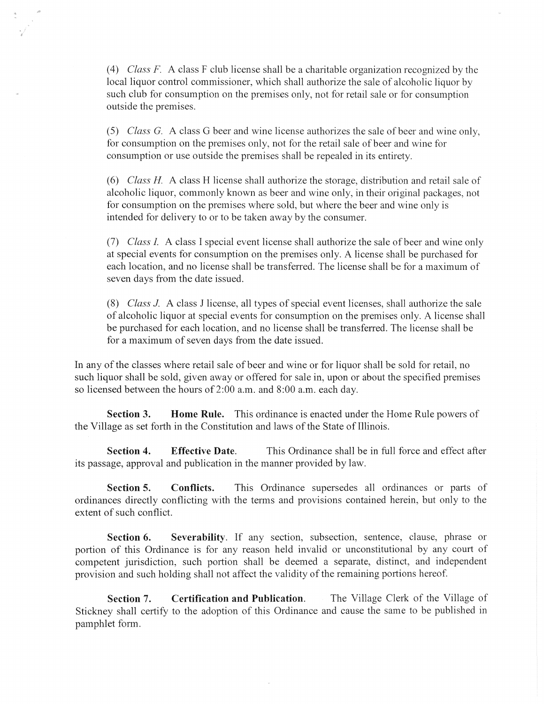*(4) Class* F. A class F club license shall be a charitable organization recognized by the local liquor control commissioner, which shall authorize the sale of alcoholic liquor by such club for consumption on the premises only, not for retail sale or for consumption outside the premises.

*(5) Class* G. A class G beer and wine license authorizes the sale of beer and wine only, for consumption on the premises only, not for the retail sale of beer and wine for consumption or use outside the premises shall be repealed in its entirety.

*(6) Class H* A class H license shall authorize the storage, distribution and retail sale of alcoholic liquor, commonly known as beer and wine only, in their original packages, not for consumption on the premises where sold, but where the beer and wine only is intended for delivery to or to be taken away by the consumer.

*(7) Class* 1. A class I special event license shall authorize the sale of beer and wine only at special events for consumption on the premises only. A license shall be purchased for each location, and no license shall be transferred. The license shall be for a maximum of seven days from the date issued.

*(8) Class* J. A class J license, all types of special event licenses, shall authorize the sale of alcoholic liquor at special events for consumption on the premises only. A license shall be purchased for each location, and no license shall be transferred. The license shall be for a maximum of seven days from the date issued.

In any of the classes where retail sale of beer and wine or for liquor shall be sold for retail, no such liquor shall be sold, given away or offered for sale in, upon or about the specified premises so licensed between the hours of 2:00 a.m. and 8:00 a.m. each day.

**Section 3. Home Rule.** This ordinance is enacted under the Home Rule powers of the Village as set forth in the Constitution and laws of the State of Illinois.

**Section 4. Effective Date.** This Ordinance shall be in full force and effect after its passage, approval and publication in the manner provided by law.

**Section 5. Conflicts.** This Ordinance supersedes all ordinances or parts of ordinances directly conflicting with the tenns and provisions contained herein, but only to the extent of such conflict.

**Section 6. Severability.** If any section, subsection, sentence, clause, phrase or portion of this Ordinance is for any reason held invalid or unconstitutional by any court of competent jurisdiction, such portion shall be deemed a separate, distinct, and independent provision and such holding shall not affect the validity of the remaining portions hereof.

**Section 7. Certification and Publication.** The Village Clerk of the Village of Stickney shall certify to the adoption of this Ordinance and cause the same to be published in pamphlet form.